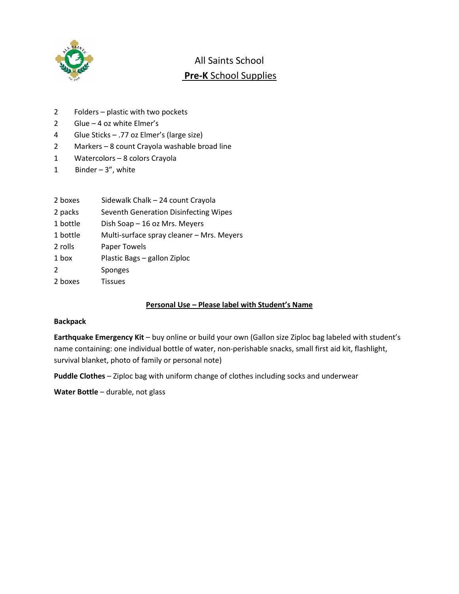

## All Saints School **Pre-K** School Supplies

- 2 Folders plastic with two pockets
- 2 Glue 4 oz white Elmer's
- 4 Glue Sticks .77 oz Elmer's (large size)
- 2 Markers 8 count Crayola washable broad line
- 1 Watercolors 8 colors Crayola
- 1 Binder 3", white

| 2 boxes | Sidewalk Chalk - 24 count Crayola |  |
|---------|-----------------------------------|--|
|         |                                   |  |

- 2 packs Seventh Generation Disinfecting Wipes
- 1 bottle Dish Soap 16 oz Mrs. Meyers
- 1 bottle Multi-surface spray cleaner Mrs. Meyers
- 2 rolls Paper Towels
- 1 box Plastic Bags gallon Ziploc
- 2 Sponges
- 2 boxes Tissues

## **Personal Use – Please label with Student's Name**

#### **Backpack**

**Earthquake Emergency Kit** – buy online or build your own (Gallon size Ziploc bag labeled with student's name containing: one individual bottle of water, non-perishable snacks, small first aid kit, flashlight, survival blanket, photo of family or personal note)

**Puddle Clothes** – Ziploc bag with uniform change of clothes including socks and underwear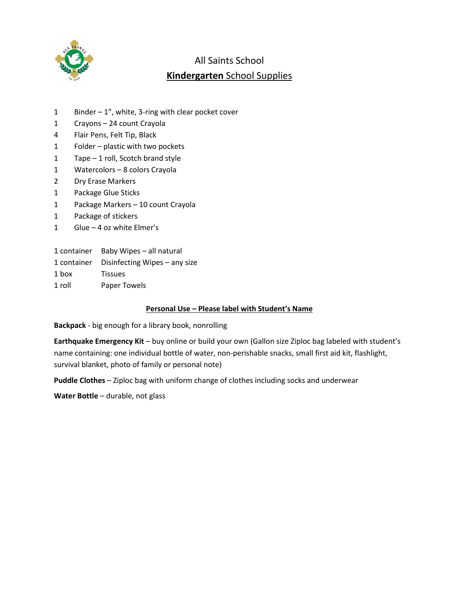

# All Saints School **Kindergarten** School Supplies

- 1 Binder 1", white, 3-ring with clear pocket cover
- 1 Crayons 24 count Crayola
- 4 Flair Pens, Felt Tip, Black
- 1 Folder plastic with two pockets
- 1 Tape 1 roll, Scotch brand style
- 1 Watercolors 8 colors Crayola
- 2 Dry Erase Markers
- 1 Package Glue Sticks
- 1 Package Markers 10 count Crayola
- 1 Package of stickers
- 1 Glue 4 oz white Elmer's
- 1 container Baby Wipes all natural
- 1 container Disinfecting Wipes any size
- 1 box Tissues
- 1 roll Paper Towels

## **Personal Use – Please label with Student's Name**

**Backpack** - big enough for a library book, nonrolling

**Earthquake Emergency Kit** – buy online or build your own (Gallon size Ziploc bag labeled with student's name containing: one individual bottle of water, non-perishable snacks, small first aid kit, flashlight, survival blanket, photo of family or personal note)

**Puddle Clothes** – Ziploc bag with uniform change of clothes including socks and underwear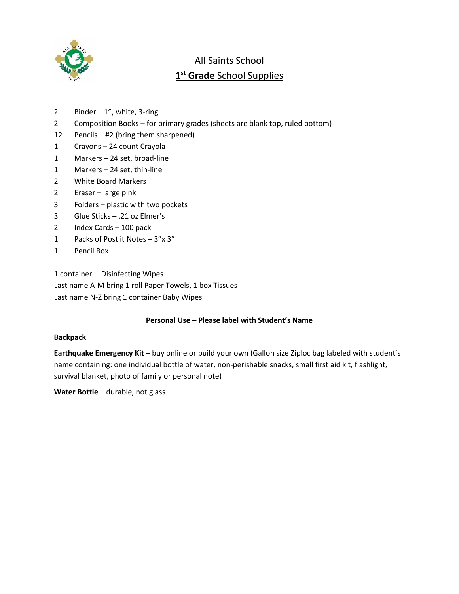

# All Saints School **1 st Grade** School Supplies

- 2 Binder  $-1$ ", white, 3-ring
- 2 Composition Books for primary grades (sheets are blank top, ruled bottom)
- 12 Pencils #2 (bring them sharpened)
- 1 Crayons 24 count Crayola
- 1 Markers 24 set, broad-line
- 1 Markers 24 set, thin-line
- 2 White Board Markers
- 2 Eraser large pink
- 3 Folders plastic with two pockets
- 3 Glue Sticks .21 oz Elmer's
- 2 Index Cards 100 pack
- 1 Packs of Post it Notes 3"x 3"
- 1 Pencil Box

1 container Disinfecting Wipes Last name A-M bring 1 roll Paper Towels, 1 box Tissues Last name N-Z bring 1 container Baby Wipes

## **Personal Use – Please label with Student's Name**

#### **Backpack**

**Earthquake Emergency Kit** – buy online or build your own (Gallon size Ziploc bag labeled with student's name containing: one individual bottle of water, non-perishable snacks, small first aid kit, flashlight, survival blanket, photo of family or personal note)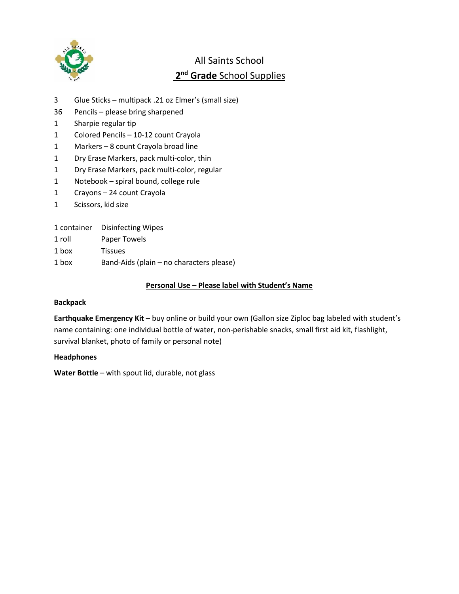

# All Saints School **2 nd Grade** School Supplies

- 3 Glue Sticks multipack .21 oz Elmer's (small size)
- 36 Pencils please bring sharpened
- 1 Sharpie regular tip
- 1 Colored Pencils 10-12 count Crayola
- 1 Markers 8 count Crayola broad line
- 1 Dry Erase Markers, pack multi-color, thin
- 1 Dry Erase Markers, pack multi-color, regular
- 1 Notebook spiral bound, college rule
- 1 Crayons 24 count Crayola
- 1 Scissors, kid size
- 1 container Disinfecting Wipes
- 1 roll Paper Towels
- 1 box Tissues
- 1 box Band-Aids (plain no characters please)

## **Personal Use – Please label with Student's Name**

## **Backpack**

**Earthquake Emergency Kit** – buy online or build your own (Gallon size Ziploc bag labeled with student's name containing: one individual bottle of water, non-perishable snacks, small first aid kit, flashlight, survival blanket, photo of family or personal note)

## **Headphones**

**Water Bottle** – with spout lid, durable, not glass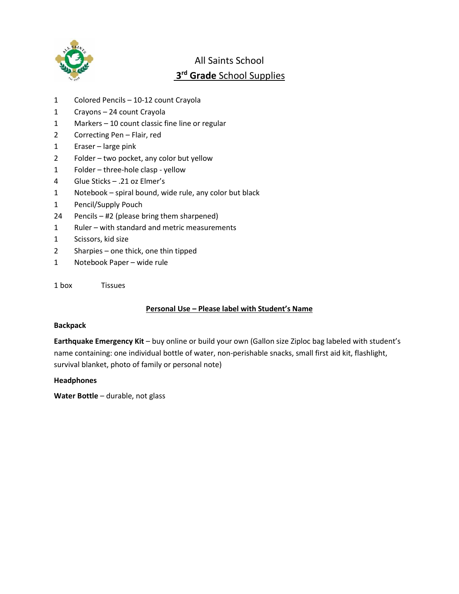

# All Saints School **rd Grade** School Supplies

- Colored Pencils 10-12 count Crayola
- Crayons 24 count Crayola
- Markers 10 count classic fine line or regular
- Correcting Pen Flair, red
- Eraser large pink
- Folder two pocket, any color but yellow
- Folder three-hole clasp yellow
- Glue Sticks .21 oz Elmer's
- Notebook spiral bound, wide rule, any color but black
- Pencil/Supply Pouch
- Pencils #2 (please bring them sharpened)
- Ruler with standard and metric measurements
- Scissors, kid size
- Sharpies one thick, one thin tipped
- Notebook Paper wide rule
- box Tissues

## **Personal Use – Please label with Student's Name**

#### **Backpack**

**Earthquake Emergency Kit** – buy online or build your own (Gallon size Ziploc bag labeled with student's name containing: one individual bottle of water, non-perishable snacks, small first aid kit, flashlight, survival blanket, photo of family or personal note)

#### **Headphones**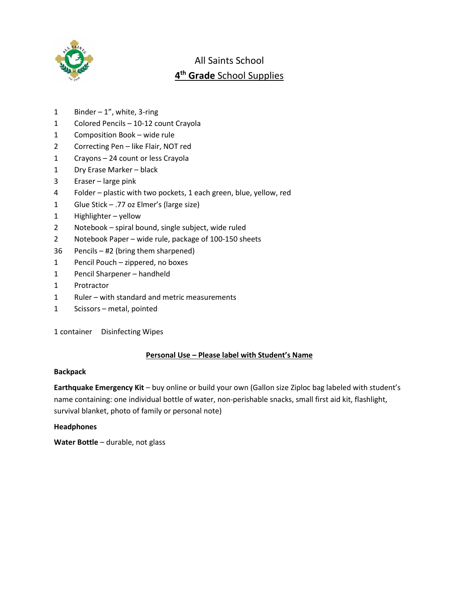

# All Saints School **th Grade** School Supplies

- 1 Binder ", white, 3-ring
- Colored Pencils 10-12 count Crayola
- Composition Book wide rule
- Correcting Pen like Flair, NOT red
- Crayons 24 count or less Crayola
- Dry Erase Marker black
- Eraser large pink
- Folder plastic with two pockets, 1 each green, blue, yellow, red
- Glue Stick .77 oz Elmer's (large size)
- Highlighter yellow
- Notebook spiral bound, single subject, wide ruled
- Notebook Paper wide rule, package of 100-150 sheets
- Pencils #2 (bring them sharpened)
- Pencil Pouch zippered, no boxes
- Pencil Sharpener handheld
- Protractor
- Ruler with standard and metric measurements
- Scissors metal, pointed

container Disinfecting Wipes

## **Personal Use – Please label with Student's Name**

#### **Backpack**

**Earthquake Emergency Kit** – buy online or build your own (Gallon size Ziploc bag labeled with student's name containing: one individual bottle of water, non-perishable snacks, small first aid kit, flashlight, survival blanket, photo of family or personal note)

## **Headphones**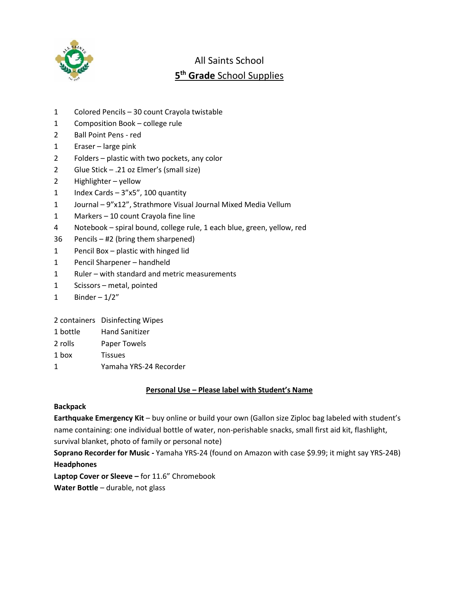

# All Saints School **5 th Grade** School Supplies

- 1 Colored Pencils 30 count Crayola twistable
- 1 Composition Book college rule
- 2 Ball Point Pens red
- 1 Eraser large pink
- 2 Folders plastic with two pockets, any color
- 2 Glue Stick .21 oz Elmer's (small size)
- 2 Highlighter yellow
- 1 Index Cards 3"x5", 100 quantity
- 1 Journal 9"x12", Strathmore Visual Journal Mixed Media Vellum
- 1 Markers 10 count Crayola fine line
- 4 Notebook spiral bound, college rule, 1 each blue, green, yellow, red
- 36 Pencils #2 (bring them sharpened)
- 1 Pencil Box plastic with hinged lid
- 1 Pencil Sharpener handheld
- 1 Ruler with standard and metric measurements
- 1 Scissors metal, pointed
- 1 Binder  $-1/2"$

2 containers Disinfecting Wipes

- 1 bottle Hand Sanitizer
- 2 rolls Paper Towels
- 1 box Tissues
- 1 Yamaha YRS-24 Recorder

## **Personal Use – Please label with Student's Name**

## **Backpack**

**Earthquake Emergency Kit** – buy online or build your own (Gallon size Ziploc bag labeled with student's name containing: one individual bottle of water, non-perishable snacks, small first aid kit, flashlight, survival blanket, photo of family or personal note)

**Soprano Recorder for Music -** Yamaha YRS-24 (found on Amazon with case \$9.99; it might say YRS-24B) **Headphones**

**Laptop Cover or Sleeve –** for 11.6" Chromebook